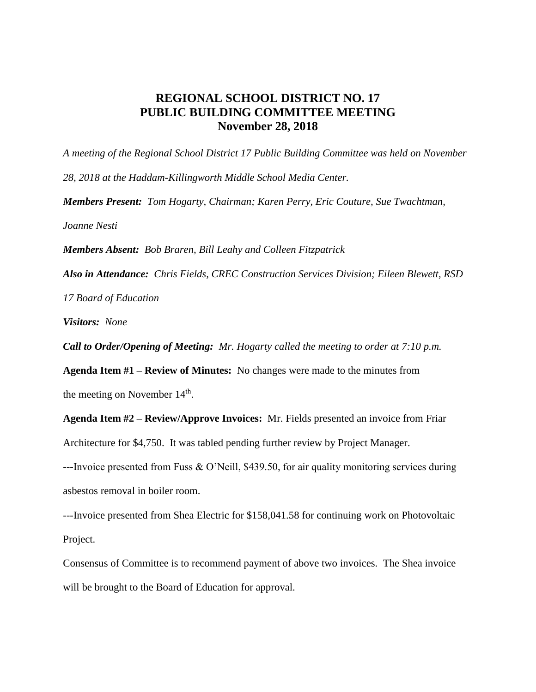## **REGIONAL SCHOOL DISTRICT NO. 17 PUBLIC BUILDING COMMITTEE MEETING November 28, 2018**

*A meeting of the Regional School District 17 Public Building Committee was held on November 28, 2018 at the Haddam-Killingworth Middle School Media Center. Members Present: Tom Hogarty, Chairman; Karen Perry, Eric Couture, Sue Twachtman, Joanne Nesti Members Absent: Bob Braren, Bill Leahy and Colleen Fitzpatrick Also in Attendance: Chris Fields, CREC Construction Services Division; Eileen Blewett, RSD*

*17 Board of Education*

*Visitors: None*

*Call to Order/Opening of Meeting: Mr. Hogarty called the meeting to order at 7:10 p.m.*

**Agenda Item #1 – Review of Minutes:** No changes were made to the minutes from the meeting on November  $14<sup>th</sup>$ .

**Agenda Item #2 – Review/Approve Invoices:** Mr. Fields presented an invoice from Friar Architecture for \$4,750. It was tabled pending further review by Project Manager.

---Invoice presented from Fuss & O'Neill, \$439.50, for air quality monitoring services during asbestos removal in boiler room.

---Invoice presented from Shea Electric for \$158,041.58 for continuing work on Photovoltaic Project.

Consensus of Committee is to recommend payment of above two invoices. The Shea invoice will be brought to the Board of Education for approval.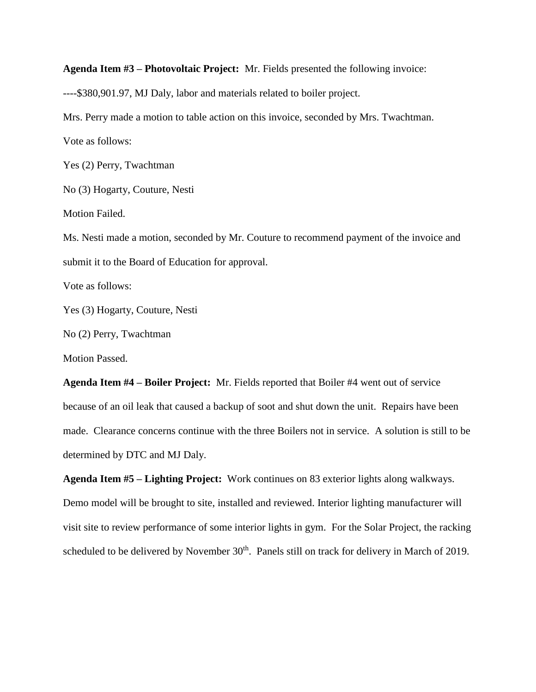**Agenda Item #3 – Photovoltaic Project:** Mr. Fields presented the following invoice:

----\$380,901.97, MJ Daly, labor and materials related to boiler project.

Mrs. Perry made a motion to table action on this invoice, seconded by Mrs. Twachtman.

Vote as follows:

Yes (2) Perry, Twachtman

No (3) Hogarty, Couture, Nesti

Motion Failed.

Ms. Nesti made a motion, seconded by Mr. Couture to recommend payment of the invoice and submit it to the Board of Education for approval.

Vote as follows:

Yes (3) Hogarty, Couture, Nesti

No (2) Perry, Twachtman

Motion Passed.

**Agenda Item #4 – Boiler Project:** Mr. Fields reported that Boiler #4 went out of service because of an oil leak that caused a backup of soot and shut down the unit. Repairs have been made. Clearance concerns continue with the three Boilers not in service. A solution is still to be determined by DTC and MJ Daly.

**Agenda Item #5 – Lighting Project:** Work continues on 83 exterior lights along walkways. Demo model will be brought to site, installed and reviewed. Interior lighting manufacturer will visit site to review performance of some interior lights in gym. For the Solar Project, the racking scheduled to be delivered by November 30<sup>th</sup>. Panels still on track for delivery in March of 2019.